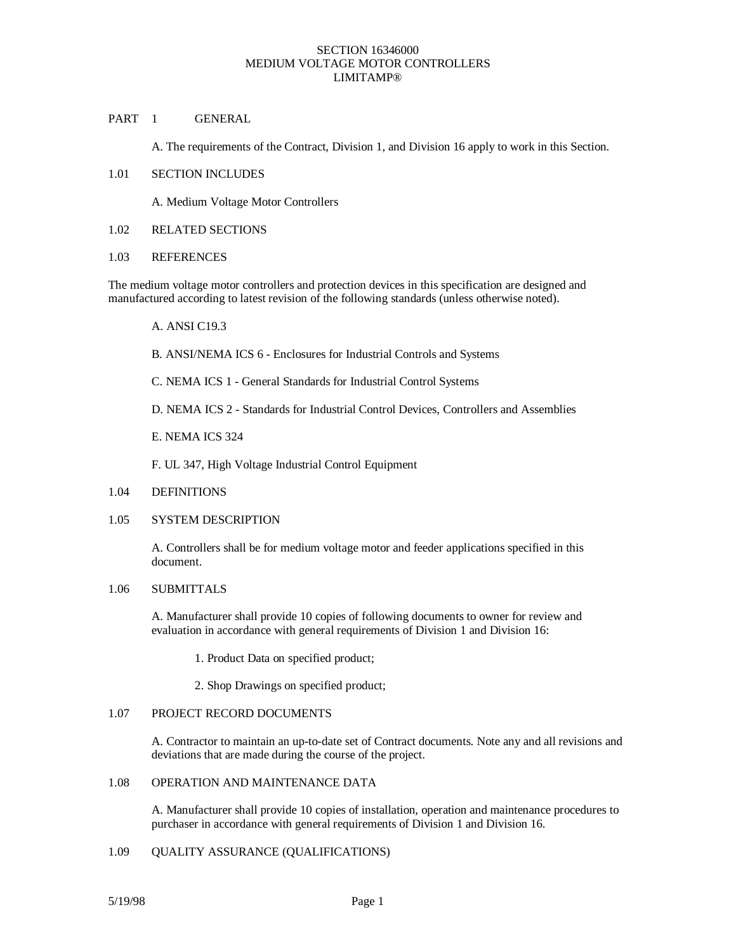# PART 1 GENERAL

A. The requirements of the Contract, Division 1, and Division 16 apply to work in this Section.

### 1.01 SECTION INCLUDES

A. Medium Voltage Motor Controllers

1.02 RELATED SECTIONS

#### 1.03 REFERENCES

The medium voltage motor controllers and protection devices in this specification are designed and manufactured according to latest revision of the following standards (unless otherwise noted).

- A. ANSI C19.3
- B. ANSI/NEMA ICS 6 Enclosures for Industrial Controls and Systems
- C. NEMA ICS 1 General Standards for Industrial Control Systems
- D. NEMA ICS 2 Standards for Industrial Control Devices, Controllers and Assemblies
- E. NEMA ICS 324
- F. UL 347, High Voltage Industrial Control Equipment
- 1.04 DEFINITIONS

### 1.05 SYSTEM DESCRIPTION

A. Controllers shall be for medium voltage motor and feeder applications specified in this document.

# 1.06 SUBMITTALS

A. Manufacturer shall provide 10 copies of following documents to owner for review and evaluation in accordance with general requirements of Division 1 and Division 16:

1. Product Data on specified product;

2. Shop Drawings on specified product;

### 1.07 PROJECT RECORD DOCUMENTS

A. Contractor to maintain an up-to-date set of Contract documents. Note any and all revisions and deviations that are made during the course of the project.

# 1.08 OPERATION AND MAINTENANCE DATA

A. Manufacturer shall provide 10 copies of installation, operation and maintenance procedures to purchaser in accordance with general requirements of Division 1 and Division 16.

### 1.09 QUALITY ASSURANCE (QUALIFICATIONS)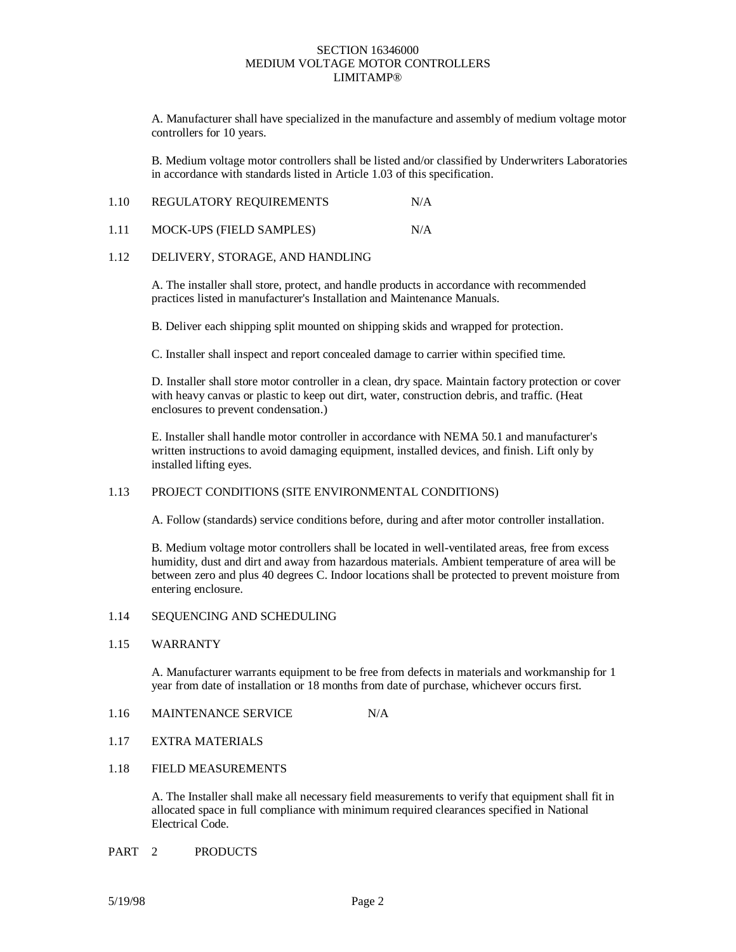A. Manufacturer shall have specialized in the manufacture and assembly of medium voltage motor controllers for 10 years.

B. Medium voltage motor controllers shall be listed and/or classified by Underwriters Laboratories in accordance with standards listed in Article 1.03 of this specification.

| 1.10 | REGULATORY REQUIREMENTS | N/A |
|------|-------------------------|-----|
|------|-------------------------|-----|

| <b>MOCK-UPS (FIELD SAMPLES)</b><br>1.11 | N/A |
|-----------------------------------------|-----|
|-----------------------------------------|-----|

# 1.12 DELIVERY, STORAGE, AND HANDLING

A. The installer shall store, protect, and handle products in accordance with recommended practices listed in manufacturer's Installation and Maintenance Manuals.

B. Deliver each shipping split mounted on shipping skids and wrapped for protection.

C. Installer shall inspect and report concealed damage to carrier within specified time.

D. Installer shall store motor controller in a clean, dry space. Maintain factory protection or cover with heavy canvas or plastic to keep out dirt, water, construction debris, and traffic. (Heat enclosures to prevent condensation.)

E. Installer shall handle motor controller in accordance with NEMA 50.1 and manufacturer's written instructions to avoid damaging equipment, installed devices, and finish. Lift only by installed lifting eyes.

# 1.13 PROJECT CONDITIONS (SITE ENVIRONMENTAL CONDITIONS)

A. Follow (standards) service conditions before, during and after motor controller installation.

B. Medium voltage motor controllers shall be located in well-ventilated areas, free from excess humidity, dust and dirt and away from hazardous materials. Ambient temperature of area will be between zero and plus 40 degrees C. Indoor locations shall be protected to prevent moisture from entering enclosure.

# 1.14 SEQUENCING AND SCHEDULING

#### 1.15 WARRANTY

A. Manufacturer warrants equipment to be free from defects in materials and workmanship for 1 year from date of installation or 18 months from date of purchase, whichever occurs first.

# 1.16 MAINTENANCE SERVICE N/A

1.17 EXTRA MATERIALS

### 1.18 FIELD MEASUREMENTS

A. The Installer shall make all necessary field measurements to verify that equipment shall fit in allocated space in full compliance with minimum required clearances specified in National Electrical Code.

PART 2 PRODUCTS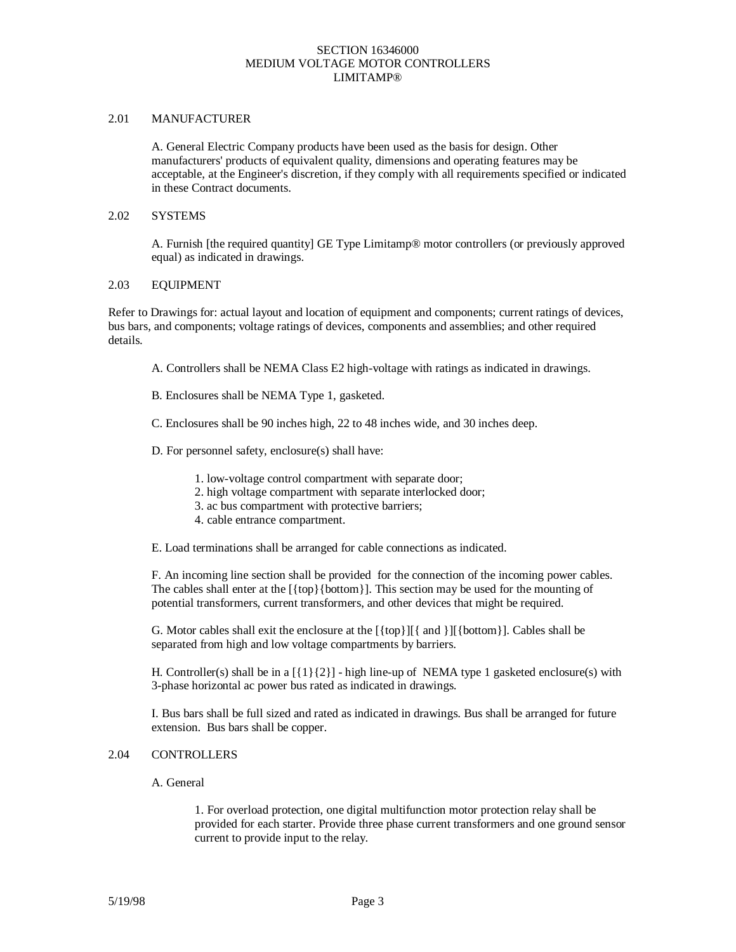### 2.01 MANUFACTURER

A. General Electric Company products have been used as the basis for design. Other manufacturers' products of equivalent quality, dimensions and operating features may be acceptable, at the Engineer's discretion, if they comply with all requirements specified or indicated in these Contract documents.

#### 2.02 SYSTEMS

A. Furnish [the required quantity] GE Type Limitamp® motor controllers (or previously approved equal) as indicated in drawings.

# 2.03 EQUIPMENT

Refer to Drawings for: actual layout and location of equipment and components; current ratings of devices, bus bars, and components; voltage ratings of devices, components and assemblies; and other required details.

- A. Controllers shall be NEMA Class E2 high-voltage with ratings as indicated in drawings.
- B. Enclosures shall be NEMA Type 1, gasketed.
- C. Enclosures shall be 90 inches high, 22 to 48 inches wide, and 30 inches deep.
- D. For personnel safety, enclosure(s) shall have:
	- 1. low-voltage control compartment with separate door;
	- 2. high voltage compartment with separate interlocked door;
	- 3. ac bus compartment with protective barriers;
	- 4. cable entrance compartment.
- E. Load terminations shall be arranged for cable connections as indicated.

F. An incoming line section shall be provided for the connection of the incoming power cables. The cables shall enter at the [{top}{bottom}]. This section may be used for the mounting of potential transformers, current transformers, and other devices that might be required.

G. Motor cables shall exit the enclosure at the  $[\{top\}]$  and  $[\{bottom\}]$ . Cables shall be separated from high and low voltage compartments by barriers.

H. Controller(s) shall be in a  $[{1}]{2}$ ] - high line-up of NEMA type 1 gasketed enclosure(s) with 3-phase horizontal ac power bus rated as indicated in drawings.

I. Bus bars shall be full sized and rated as indicated in drawings. Bus shall be arranged for future extension. Bus bars shall be copper.

#### 2.04 CONTROLLERS

A. General

1. For overload protection, one digital multifunction motor protection relay shall be provided for each starter. Provide three phase current transformers and one ground sensor current to provide input to the relay.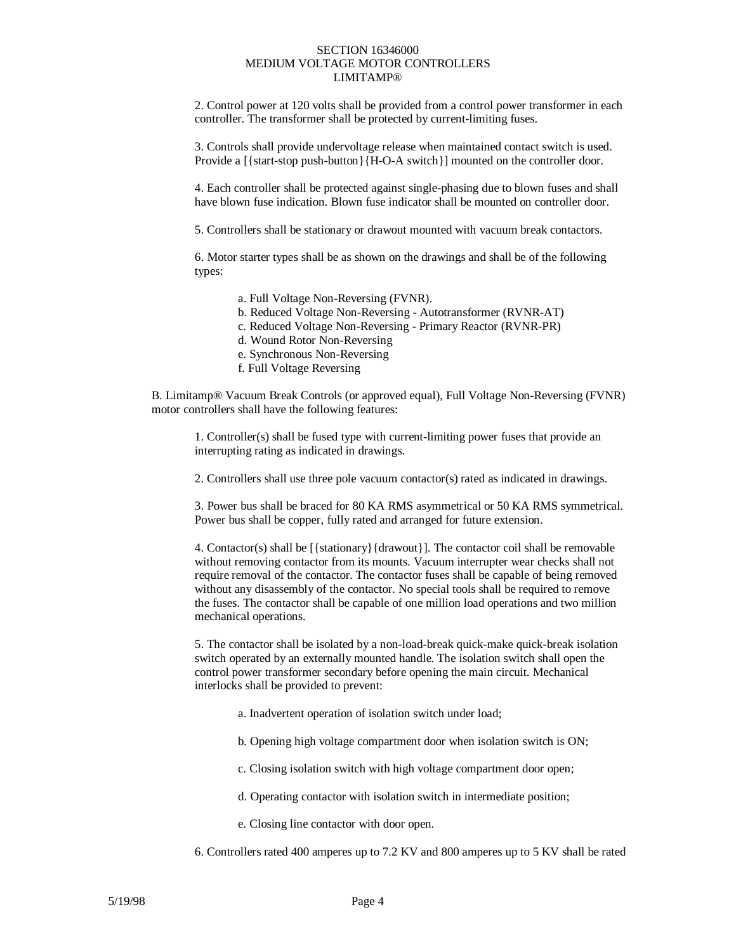2. Control power at 120 volts shall be provided from a control power transformer in each controller. The transformer shall be protected by current-limiting fuses.

3. Controls shall provide undervoltage release when maintained contact switch is used. Provide a [{start-stop push-button}{H-O-A switch}] mounted on the controller door.

4. Each controller shall be protected against single-phasing due to blown fuses and shall have blown fuse indication. Blown fuse indicator shall be mounted on controller door.

5. Controllers shall be stationary or drawout mounted with vacuum break contactors.

6. Motor starter types shall be as shown on the drawings and shall be of the following types:

- a. Full Voltage Non-Reversing (FVNR).
- b. Reduced Voltage Non-Reversing Autotransformer (RVNR-AT)
- c. Reduced Voltage Non-Reversing Primary Reactor (RVNR-PR)
- d. Wound Rotor Non-Reversing
- e. Synchronous Non-Reversing
- f. Full Voltage Reversing

B. Limitamp® Vacuum Break Controls (or approved equal), Full Voltage Non-Reversing (FVNR) motor controllers shall have the following features:

1. Controller(s) shall be fused type with current-limiting power fuses that provide an interrupting rating as indicated in drawings.

2. Controllers shall use three pole vacuum contactor(s) rated as indicated in drawings.

3. Power bus shall be braced for 80 KA RMS asymmetrical or 50 KA RMS symmetrical. Power bus shall be copper, fully rated and arranged for future extension.

4. Contactor(s) shall be  $[$ {stationary}{drawout}]. The contactor coil shall be removable without removing contactor from its mounts. Vacuum interrupter wear checks shall not require removal of the contactor. The contactor fuses shall be capable of being removed without any disassembly of the contactor. No special tools shall be required to remove the fuses. The contactor shall be capable of one million load operations and two million mechanical operations.

5. The contactor shall be isolated by a non-load-break quick-make quick-break isolation switch operated by an externally mounted handle. The isolation switch shall open the control power transformer secondary before opening the main circuit. Mechanical interlocks shall be provided to prevent:

- a. Inadvertent operation of isolation switch under load;
- b. Opening high voltage compartment door when isolation switch is ON;
- c. Closing isolation switch with high voltage compartment door open;
- d. Operating contactor with isolation switch in intermediate position;
- e. Closing line contactor with door open.
- 6. Controllers rated 400 amperes up to 7.2 KV and 800 amperes up to 5 KV shall be rated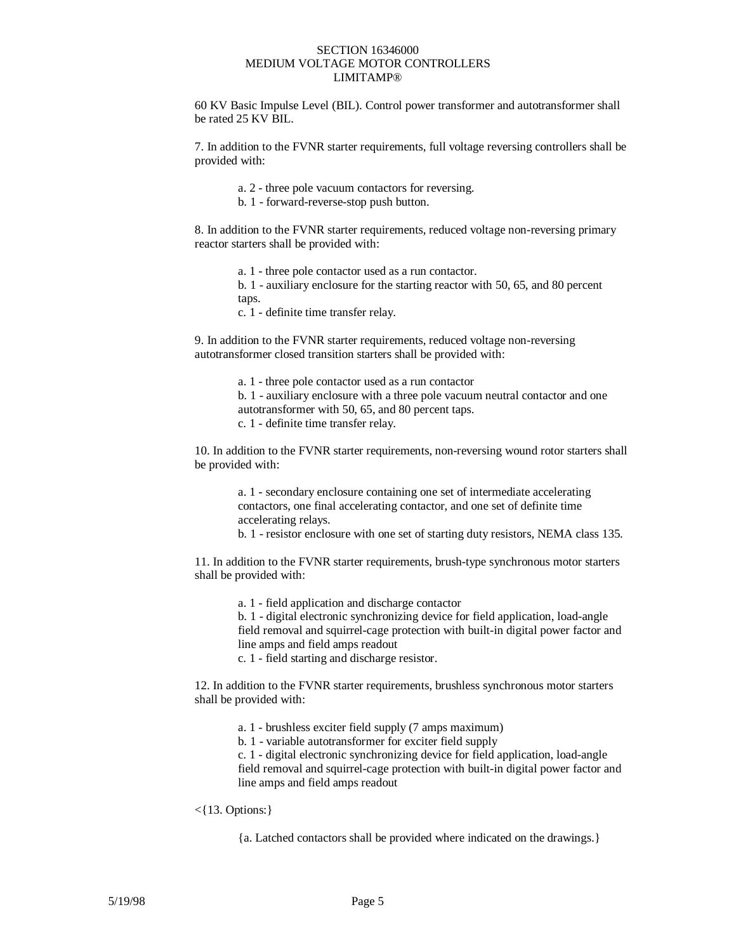60 KV Basic Impulse Level (BIL). Control power transformer and autotransformer shall be rated 25 KV BIL.

7. In addition to the FVNR starter requirements, full voltage reversing controllers shall be provided with:

- a. 2 three pole vacuum contactors for reversing.
- b. 1 forward-reverse-stop push button.

8. In addition to the FVNR starter requirements, reduced voltage non-reversing primary reactor starters shall be provided with:

- a. 1 three pole contactor used as a run contactor.
- b. 1 auxiliary enclosure for the starting reactor with 50, 65, and 80 percent taps.
- c. 1 definite time transfer relay.

9. In addition to the FVNR starter requirements, reduced voltage non-reversing autotransformer closed transition starters shall be provided with:

- a. 1 three pole contactor used as a run contactor
- b. 1 auxiliary enclosure with a three pole vacuum neutral contactor and one autotransformer with 50, 65, and 80 percent taps.
- c. 1 definite time transfer relay.

10. In addition to the FVNR starter requirements, non-reversing wound rotor starters shall be provided with:

> a. 1 - secondary enclosure containing one set of intermediate accelerating contactors, one final accelerating contactor, and one set of definite time accelerating relays.

b. 1 - resistor enclosure with one set of starting duty resistors, NEMA class 135.

11. In addition to the FVNR starter requirements, brush-type synchronous motor starters shall be provided with:

a. 1 - field application and discharge contactor

b. 1 - digital electronic synchronizing device for field application, load-angle field removal and squirrel-cage protection with built-in digital power factor and line amps and field amps readout

c. 1 - field starting and discharge resistor.

12. In addition to the FVNR starter requirements, brushless synchronous motor starters shall be provided with:

- a. 1 brushless exciter field supply (7 amps maximum)
- b. 1 variable autotransformer for exciter field supply

c. 1 - digital electronic synchronizing device for field application, load-angle field removal and squirrel-cage protection with built-in digital power factor and line amps and field amps readout

#### <{13. Options:}

{a. Latched contactors shall be provided where indicated on the drawings.}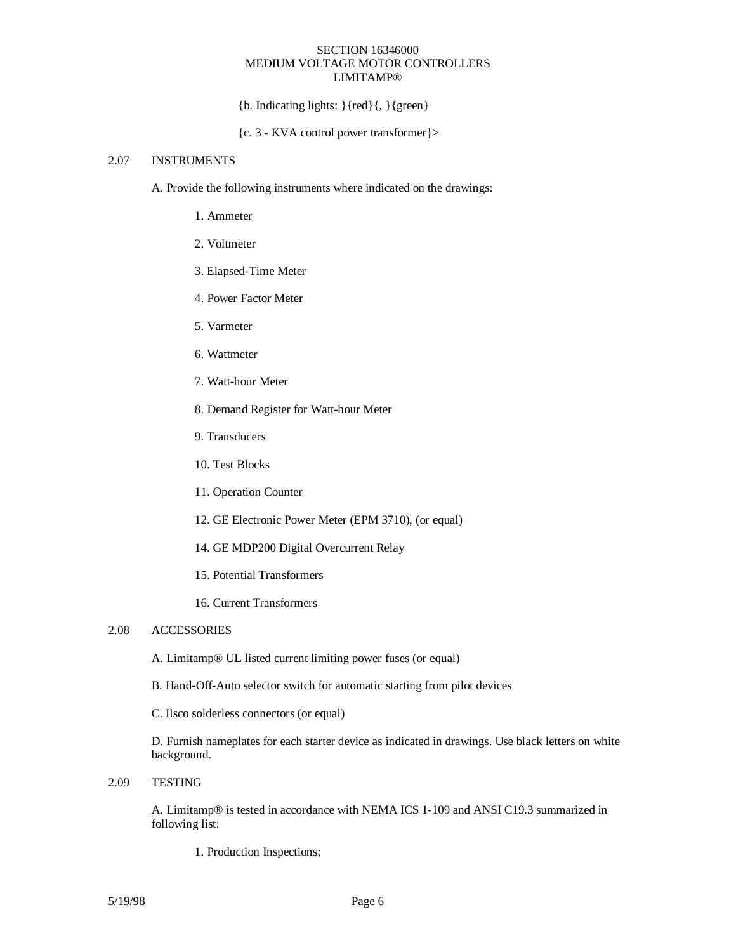${b. Indicating lights: }{red}{, }{green}$ 

{c. 3 - KVA control power transformer}>

### 2.07 INSTRUMENTS

A. Provide the following instruments where indicated on the drawings:

- 1. Ammeter
- 2. Voltmeter
- 3. Elapsed-Time Meter
- 4. Power Factor Meter
- 5. Varmeter
- 6. Wattmeter
- 7. Watt-hour Meter
- 8. Demand Register for Watt-hour Meter
- 9. Transducers
- 10. Test Blocks
- 11. Operation Counter
- 12. GE Electronic Power Meter (EPM 3710), (or equal)
- 14. GE MDP200 Digital Overcurrent Relay
- 15. Potential Transformers
- 16. Current Transformers

# 2.08 ACCESSORIES

A. Limitamp® UL listed current limiting power fuses (or equal)

- B. Hand-Off-Auto selector switch for automatic starting from pilot devices
- C. Ilsco solderless connectors (or equal)

D. Furnish nameplates for each starter device as indicated in drawings. Use black letters on white background.

2.09 TESTING

A. Limitamp® is tested in accordance with NEMA ICS 1-109 and ANSI C19.3 summarized in following list:

1. Production Inspections;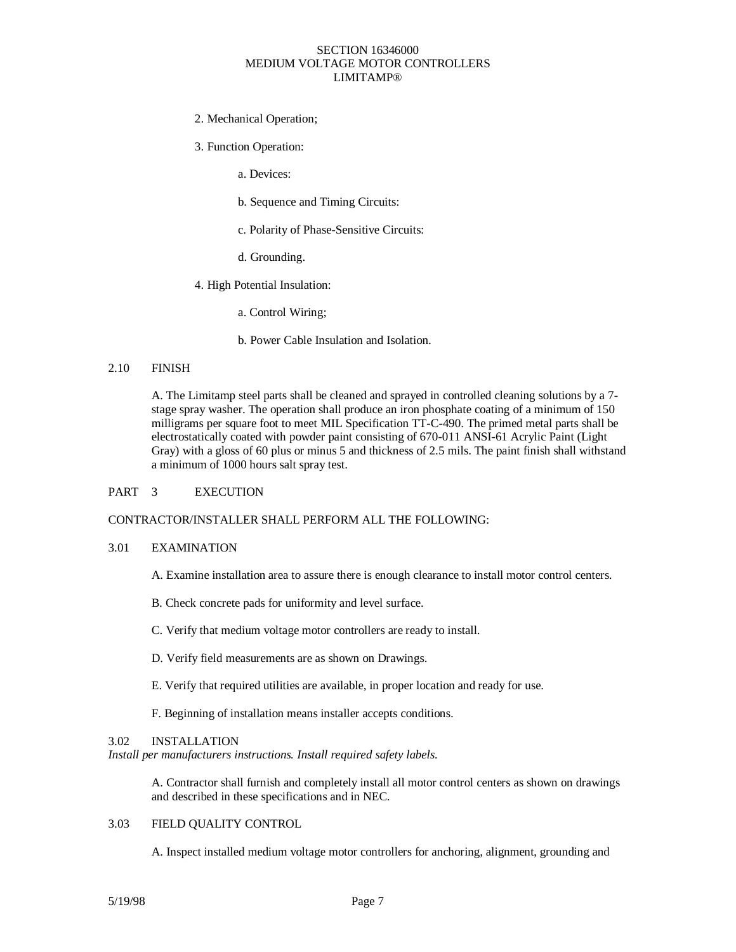### 2. Mechanical Operation;

3. Function Operation:

a. Devices:

- b. Sequence and Timing Circuits:
- c. Polarity of Phase-Sensitive Circuits:
- d. Grounding.
- 4. High Potential Insulation:

a. Control Wiring;

b. Power Cable Insulation and Isolation.

#### 2.10 FINISH

A. The Limitamp steel parts shall be cleaned and sprayed in controlled cleaning solutions by a 7 stage spray washer. The operation shall produce an iron phosphate coating of a minimum of 150 milligrams per square foot to meet MIL Specification TT-C-490. The primed metal parts shall be electrostatically coated with powder paint consisting of 670-011 ANSI-61 Acrylic Paint (Light Gray) with a gloss of 60 plus or minus 5 and thickness of 2.5 mils. The paint finish shall withstand a minimum of 1000 hours salt spray test.

#### PART 3 EXECUTION

### CONTRACTOR/INSTALLER SHALL PERFORM ALL THE FOLLOWING:

#### 3.01 EXAMINATION

- A. Examine installation area to assure there is enough clearance to install motor control centers.
- B. Check concrete pads for uniformity and level surface.
- C. Verify that medium voltage motor controllers are ready to install.
- D. Verify field measurements are as shown on Drawings.
- E. Verify that required utilities are available, in proper location and ready for use.
- F. Beginning of installation means installer accepts conditions.

#### 3.02 INSTALLATION

*Install per manufacturers instructions. Install required safety labels.*

A. Contractor shall furnish and completely install all motor control centers as shown on drawings and described in these specifications and in NEC.

#### 3.03 FIELD QUALITY CONTROL

A. Inspect installed medium voltage motor controllers for anchoring, alignment, grounding and